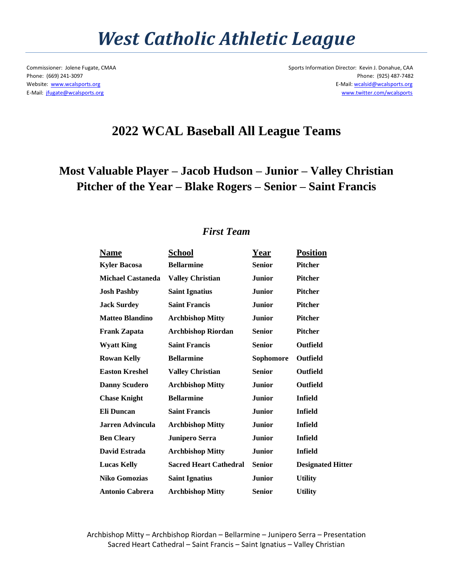# *West Catholic Athletic League*

Commissioner: Jolene Fugate, CMAA Sports Information Director: Kevin J. Donahue, CAA Phone: (669) 241-3097 Phone: (925) 487-7482 Website: [www.wcalsports.org](http://www.wcalsports.org/) E-Mail: wcalsid@wcalsports.org E-Mail: [jfugate@wcalsports.org](mailto:jfugate@wcalsports.org) [www.twitter.com/wcalsports](http://www.twitter.com/wcalsports) 

## **2022 WCAL Baseball All League Teams**

## **Most Valuable Player – Jacob Hudson – Junior – Valley Christian Pitcher of the Year – Blake Rogers – Senior – Saint Francis**

### **Name School Year Position Kyler Bacosa Bellarmine Senior Pitcher Michael Castaneda Valley Christian Junior Pitcher Josh Pashby Saint Ignatius Junior Pitcher Jack Surdey Saint Francis Junior Pitcher Matteo Blandino Archbishop Mitty Junior Pitcher Frank Zapata Archbishop Riordan Senior Pitcher Wyatt King Saint Francis Senior Outfield Rowan Kelly Bellarmine Sophomore Outfield Easton Kreshel Valley Christian Senior Outfield Danny Scudero Archbishop Mitty Junior Outfield Chase Knight Bellarmine Junior Infield Eli Duncan Saint Francis Junior Infield Jarren Advincula Archbishop Mitty Junior Infield Ben Cleary Junipero Serra Junior Infield David Estrada Archbishop Mitty Junior Infield Lucas Kelly Sacred Heart Cathedral Senior Designated Hitter Niko Gomozias Saint Ignatius Junior Utility Antonio Cabrera Archbishop Mitty Senior Utility**

#### *First Team*

Archbishop Mitty – Archbishop Riordan – Bellarmine – Junipero Serra – Presentation Sacred Heart Cathedral – Saint Francis – Saint Ignatius – Valley Christian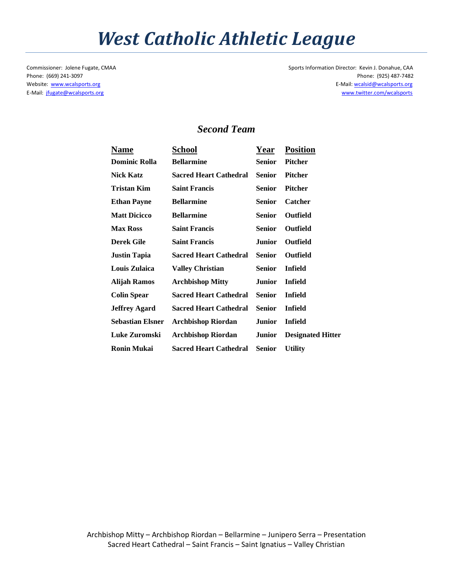# *West Catholic Athletic League*

Commissioner: Jolene Fugate, CMAA Sports Information Director: Kevin J. Donahue, CAA Phone: (669) 241-3097 Phone: (925) 487-7482 Website: [www.wcalsports.org](http://www.wcalsports.org/) examples and the example of the example of the E-Mail: wcalsid@wcalsports.org E-Mail: wcalsid@wcalsports.org E-Mail: [jfugate@wcalsports.org](mailto:jfugate@wcalsports.org) [www.twitter.com/wcalsports](http://www.twitter.com/wcalsports) 

### *Second Team*

| <b>Name</b>          | School                        | Year          | <b>Position</b>          |
|----------------------|-------------------------------|---------------|--------------------------|
| Dominic Rolla        | <b>Bellarmine</b>             | <b>Senior</b> | <b>Pitcher</b>           |
| <b>Nick Katz</b>     | <b>Sacred Heart Cathedral</b> | <b>Senior</b> | <b>Pitcher</b>           |
| Tristan Kim          | <b>Saint Francis</b>          | <b>Senior</b> | <b>Pitcher</b>           |
| <b>Ethan Payne</b>   | <b>Bellarmine</b>             | <b>Senior</b> | Catcher                  |
| <b>Matt Dicicco</b>  | <b>Bellarmine</b>             | <b>Senior</b> | <b>Outfield</b>          |
| <b>Max Ross</b>      | <b>Saint Francis</b>          | <b>Senior</b> | Outfield                 |
| Derek Gile           | <b>Saint Francis</b>          | Junior        | <b>Outfield</b>          |
| Justin Tapia         | <b>Sacred Heart Cathedral</b> | <b>Senior</b> | <b>Outfield</b>          |
| Louis Zulaica        | <b>Valley Christian</b>       | <b>Senior</b> | Infield                  |
| Alijah Ramos         | <b>Archbishop Mitty</b>       | <b>Junior</b> | Infield                  |
| Colin Spear          | <b>Sacred Heart Cathedral</b> | <b>Senior</b> | Infield                  |
| <b>Jeffrey Agard</b> | <b>Sacred Heart Cathedral</b> | <b>Senior</b> | <b>Infield</b>           |
| Sebastian Elsner     | <b>Archbishop Riordan</b>     | Junior        | Infield                  |
| <b>Luke Zuromski</b> | <b>Archbishop Riordan</b>     | Junior        | <b>Designated Hitter</b> |
| Ronin Mukai          | <b>Sacred Heart Cathedral</b> | Senior        | <b>Utility</b>           |